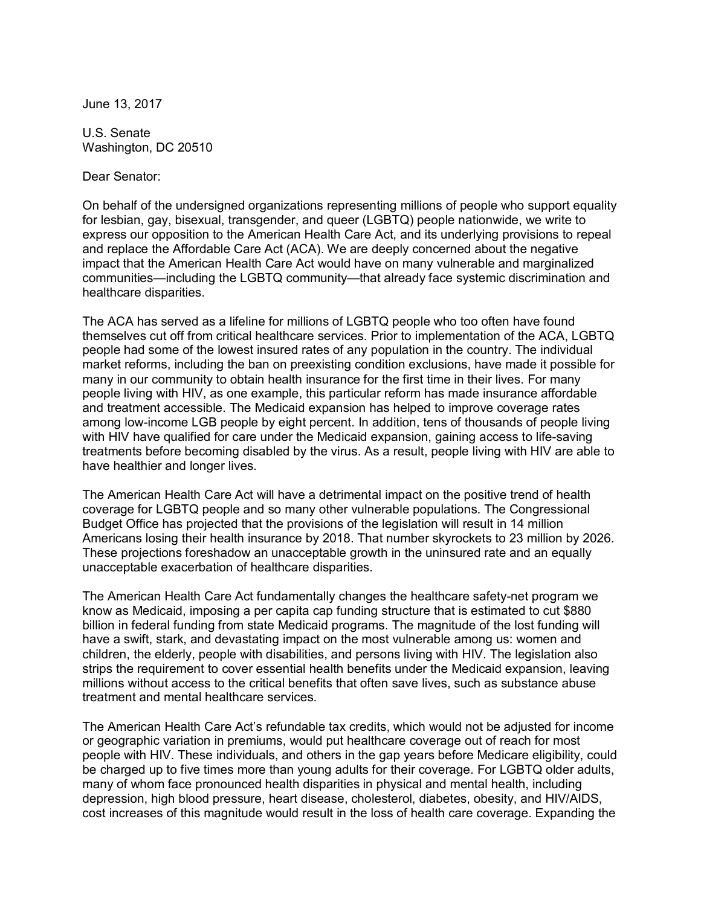June 13, 2017

U.S. Senate Washington, DC 20510

Dear Senator:

On behalf of the undersigned organizations representing millions of people who support equality for lesbian, gay, bisexual, transgender, and queer (LGBTQ) people nationwide, we write to express our opposition to the American Health Care Act, and its underlying provisions to repeal and replace the Affordable Care Act (ACA). We are deeply concerned about the negative impact that the American Health Care Act would have on many vulnerable and marginalized communities—including the LGBTQ community—that already face systemic discrimination and healthcare disparities.

The ACA has served as a lifeline for millions of LGBTQ people who too often have found<br>themselves cut off from critical healthcare services. Prior to implementation of the ACA, LGBT<br>people had some of the lowest insured ra themselves cut off from critical healthcare services. Prior to implementation of the ACA, LGBTQ people had some of the lowest insured rates of any population in the country. The individual market reforms, including the ban on preexisting condition exclusions, have made it possible for many in our community to obtain health insurance for the first time in their lives. For many people living with HIV, as one example, this particular reform has made insurance affordable and treatment accessible. The Medicaid expansion has helped to improve coverage rates among low-income LGB people by eight percent. In addition, tens of thousands of people living and treatment accessible. The Medicaid expansion has helped to improve coverage rates<br>among low-income LGB people by eight percent. In addition, tens of thousands of people living<br>with HIV have qualified for care under the treatments before becoming disabled by the virus. As a result, people living with HIV are able to have healthier and longer lives.

The American Health Care Act will have a detrimental impact on the positive trend of health coverage for LGBTQ people and so many other vulnerable populations. The Congressional Budget Office has projected that the provisions of the legislation will result in 14 million Americans losing their health insurance by 2018. That number skyrockets to 23 million by 2026. These projections foreshadow an unacceptable growth in the uninsured rate and an equally unacceptable exacerbation of healthcare disparities.

The American Health Care Act fundamentally changes the healthcare safety-net program we know as Medicaid, imposing a per capita cap funding structure that is estimated to cut \$880 billion in federal funding from state Medicaid programs. The magnitude of the lost funding will have a swift, stark, and devastating impact on the most vulnerable among us: women and children, the elderly, people with disabilities, and persons living with HIV. The legislation also strips the requirement to cover essential health benefits under the Medicaid expansion, leaving millions without access to the critical benefits that often save lives, such as substance abuse treatment and mental healthcare services.

The American Health Care Act's refundable tax credits, which would not be adjusted for income or geographic variation in premiums, would put healthcare coverage out of reach for most The American Health Care Act's refundable tax credits, which would not be adjusted for income<br>or geographic variation in premiums, would put healthcare coverage out of reach for most<br>people with HIV. These individuals, and or geographic variation in premiums, would put healthcare coverage out of reach for most<br>people with HIV. These individuals, and others in the gap years before Medicare eligibility, could<br>be charged up to five times more t many of whom face pronounced health disparities in physical and mental health, including<br>depression, high blood pressure, heart disease, cholesterol, diabetes, obesity, and HIV/AIDS,<br>cost increases of this magnitude would depression, high blood pressure, heart disease, cholesterol, diabetes, obesity, and HIV/AIDS,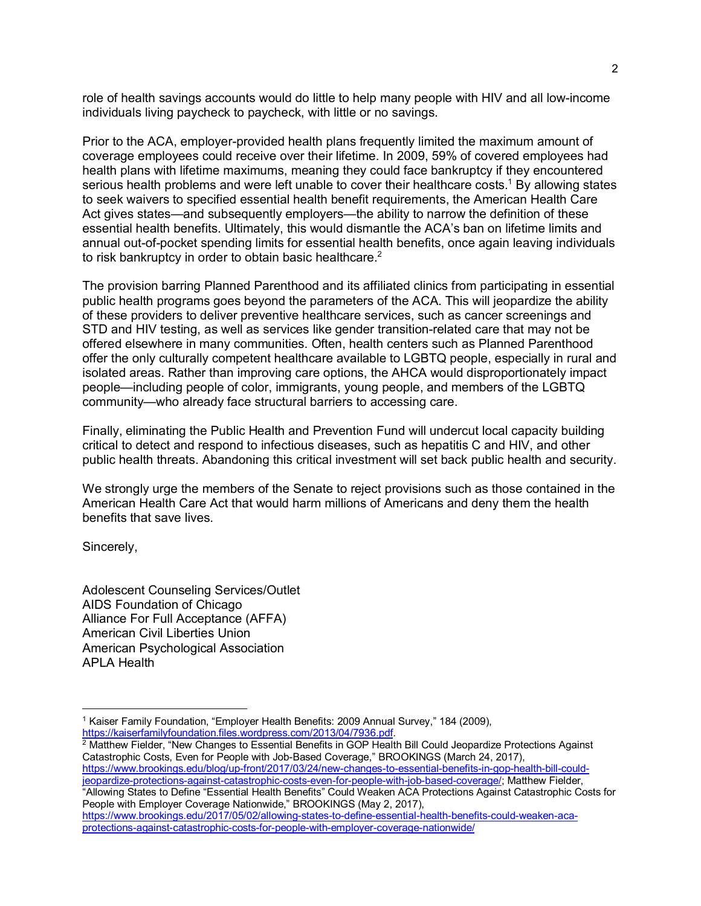2<br>role of health savings accounts would do little to help many people with HIV and all low-income<br>individuals living novebook to novebook, with little or no covings role of health savings accounts would do little to help many people<br>individuals living paycheck to paycheck, with little or no savings. individuals living paycheck to paycheck, with little or no savings.<br>Prior to the ACA, emplover-provided health plans frequently limited the maximum amount of

coverage employees could receive over their lifetime. In 2009, 59% of covered employees had health plans with lifetime maximums, meaning they could face bankruptcy if they encountered<br>serious health problems and were left unable to cover their healthcare costs.<sup>1</sup> By allowing states<br>to seek waivers to specified e serious health problems and were left unable to cover their healthcare costs.<sup>1</sup> By allowing states Act gives states—and subsequently employers—the ability to narrow the definition of these to seek waivers to specified essential health benefit requirements, the American Health Care<br>Act gives states—and subsequently employers—the ability to narrow the definition of these<br>essential health benefits. Ultimately, annual out-of-pocket spending limits for essential health benefits, once again leaving individuals to risk bankruptcy in order to obtain basic healthcare.<sup>2</sup>

The provision barring Planned Parenthood and its affiliated clinics from participating in essential public health programs goes beyond the parameters of the ACA. This will jeopardize the ability of these providers to deliver preventive healthcare services, such as cancer screenings and STD and HIV testing, as well as services like gender transition-related care that may not be offered elsewhere in many communities. Often, health centers such as Planned Parenthood offer the only culturally competent healthcare available to LGBTQ people, especially in rural and offered elsewhere in many communities. Often, health centers such as Planned Parenthood<br>offer the only culturally competent healthcare available to LGBTQ people, especially in rural and<br>isolated areas. Rather than improvin people—including people of color, immigrants, young people, and members of the LGBTQ community—who already face structural barriers to accessing care.

Finally, eliminating the Public Health and Prevention Fund will undercut local capacity building critical to detect and respond to infectious diseases, such as hepatitis C and HIV, and other public health threats. Abandoning this critical investment will set back public health and security.

We strongly urge the members of the Senate to reject provisions such as those contained in the American Health Care Act that would harm millions of Americans and deny them the health benefits that save lives.

Sincerely,

 $\overline{a}$ 

Adolescent Counseling Services/Outlet AIDS Foundation of Chicago Alliance For Full Acceptance (AFFA) American Civil Liberties Union American Psychological Association APLA Health

 $^2$  Matthew Fielder, "New Changes to Essential Benefits in GOP Health Bill Could Jeopardize Protections Against https://kaiserfamilyfoundation.files.wordpress.com/2013/04/7936.pdf.<br><sup>2</sup> Matthew Fielder, "New Changes to Essential Benefits in GOP Health Bill Could Jeopardize Protect<br>Catastrophic Costs, Even for People with Job-Based Co https://www.brookings.edu/blog/up-front/2017/03/24/new-changes-to-essential-benefits-in-gop-health-bill-couldieopardize-protections-against-catastrophic-costs-even-for-people-with-job-based-coverage/; Matthew Fielder,<br>"Allowing States to Define "Essential Health Benefits" Could Weaken ACA Protections Against Catastrophic Cost<br>Peo "Allowing States to Define "Essential Health Benefits" Could Weaken ACA Protections Against Catastrophic Costs for https://www.brookings.edu/2017/05/02/allowing-states-to-define-essential-health-benefits-could-weaken-aca-

protections-against-catastrophic-costs-for-people-with-employer-coverage-nationwide/

<sup>&</sup>lt;sup>1</sup> Kaiser Family Foundation, "Employer Health Benefits: 2009 Annual Survey," 184 (2009), https://kaiserfamilyfoundation.files.wordpress.com/2013/04/7936.pdf.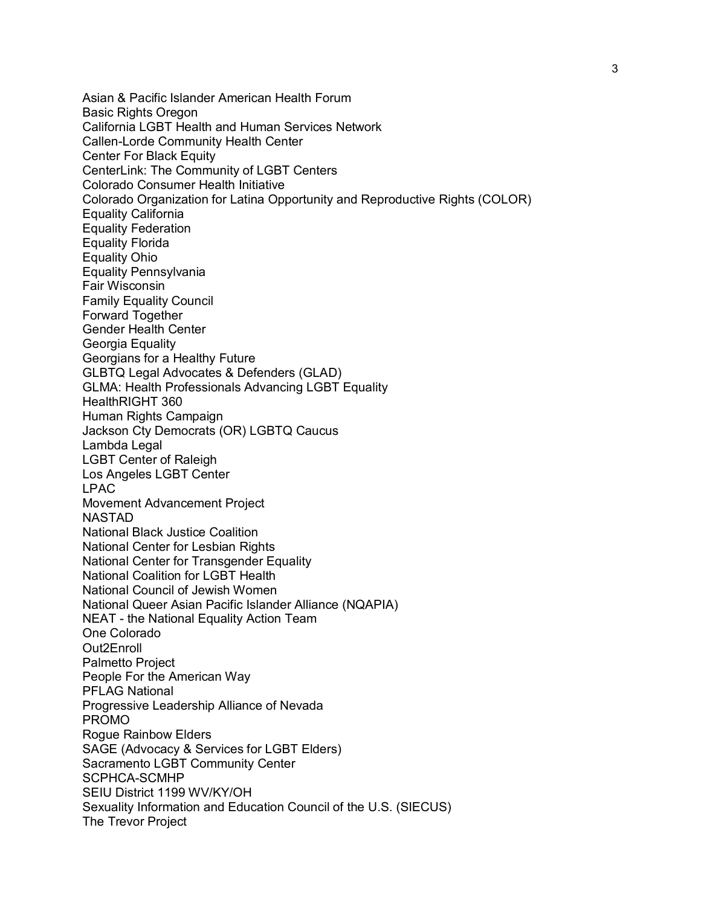Asian & Pacific Islander American Health Forum Basic Rights Oregon California LGBT Health and Human Services Network Callen-Lorde Community Health Center Center For Black Equity CenterLink: The Community of LGBT Centers Colorado Consumer Health Initiative Colorado Organization for Latina Opportunity and Reproductive Rights (COLOR) Equality California Equality Federation Equality Florida Equality Ohio Equality Pennsylvania Fair Wisconsin Family Equality Council Forward Together Gender Health Center Georgia Equality Georgians for a Healthy Future GLBTQ Legal Advocates & Defenders (GLAD) GLMA: Health Professionals Advancing LGBT Equality HealthRIGHT 360 Human Rights Campaign Jackson Cty Democrats (OR) LGBTQ Caucus Lambda Legal LGBT Center of Raleigh Los Angeles LGBT Center LPAC Movement Advancement Project NASTAD National Black Justice Coalition National Center for Lesbian Rights National Center for Transgender Equality National Coalition for LGBT Health National Council of Jewish Women National Queer Asian Pacific Islander Alliance (NQAPIA) National Council of Jewish Women<br>National Queer Asian Pacific Islander Alliance (M<br>NEAT - the National Equality Action Team<br>One Celerede One Colorado Out2Enroll Palmetto Project People For the American Way PFLAG National Progressive Leadership Alliance of Nevada PROMO Rogue Rainbow Elders SAGE (Advocacy & Services for LGBT Elders) Sacramento LGBT Community Center SCPHCA-SCMHP SEIU District 1199 WV/KY/OH Sexuality Information and Education Council of the U.S. (SIECUS) The Trevor Project